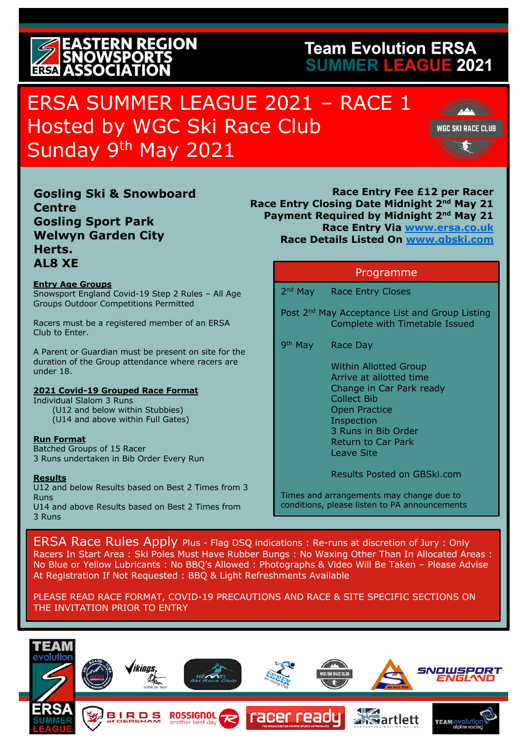## **ERN REGION ERSA ASSOCI**

## **Team Evolution ERSA SUMMER LEAGUE 2021**

# ERSA SUMMER LEAGUE 2021 - RACE 1 Hosted by WGC Ski Race Club Sunday 9<sup>th</sup> May 2021



**Gosling Ski & Snowboard Centre Gosling Sport Park Welwyn Garden City Herts. AL8 XE**

#### **Entry Age Groups**

Snowsport England Covid-19 Step 2 Rules – All Age Groups Outdoor Competitions Permitted

Racers must be a registered member of an ERSA Club to Enter.

A Parent or Guardian must be present on site for the duration of the Group attendance where racers are under 18.

**2021 Covid-19 Grouped Race Format**

Individual Slalom 3 Runs (U12 and below within Stubbies) (U14 and above within Full Gates)

#### **Run Format**

Batched Groups of 15 Racer 3 Runs undertaken in Bib Order Every Run

#### **Results**

U12 and below Results based on Best 2 Times from 3 Runs U14 and above Results based on Best 2 Times from 3 Runs

**Race Entry Fee £12 per Racer Race Entry Closing Date Midnight 2nd May 21 Payment Required by Midnight 2nd May 21 Race Entry Via www.ersa.co.uk Race Details Listed On www.gbski.com** 

#### Programme

2<sup>nd</sup> May Race Entry Closes

Post 2<sup>nd</sup> May Acceptance List and Group Listing Complete with Timetable Issued

9<sup>th</sup> May Race Day

Within Allotted Group Arrive at allotted time Change in Car Park ready Collect Bib Open Practice Inspection 3 Runs in Bib Order Return to Car Park Leave Site

Results Posted on GBSki.com

Times and arrangements may change due to conditions, please listen to PA announcements

ERSA Race Rules Apply Plus - Flag DSQ indications : Re-runs at discretion of Jury : Only Racers In Start Area : Ski Poles Must Have Rubber Bungs : No Waxing Other Than In Allocated Areas : No Blue or Yellow Lubricants : No BBQ's Allowed : Photographs & Video Will Be Taken – Please Advise At Registration If Not Requested : BBQ & Light Refreshments Available

PLEASE READ RACE FORMAT, COVID-19 PRECAUTIONS AND RACE & SITE SPECIFIC SECTIONS ON THE INVITATION PRIOR TO ENTRY

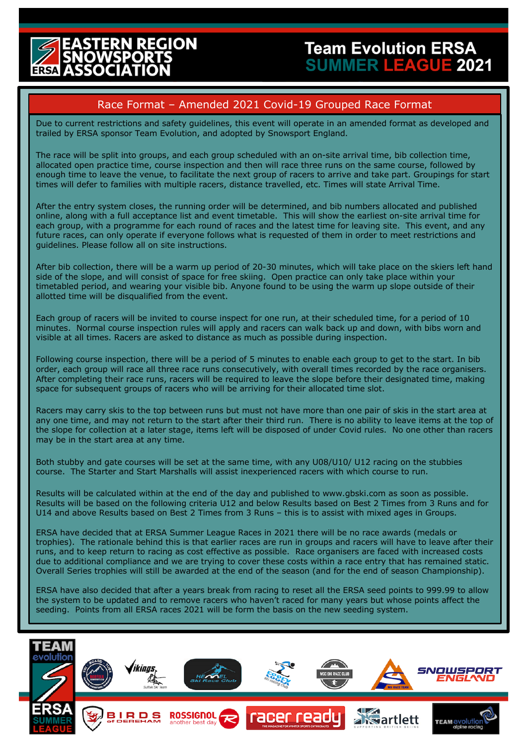

l

#### Race Format – Amended 2021 Covid-19 Grouped Race Format

Due to current restrictions and safety guidelines, this event will operate in an amended format as developed and trailed by ERSA sponsor Team Evolution, and adopted by Snowsport England.

The race will be split into groups, and each group scheduled with an on-site arrival time, bib collection time, allocated open practice time, course inspection and then will race three runs on the same course, followed by enough time to leave the venue, to facilitate the next group of racers to arrive and take part. Groupings for start times will defer to families with multiple racers, distance travelled, etc. Times will state Arrival Time.

After the entry system closes, the running order will be determined, and bib numbers allocated and published online, along with a full acceptance list and event timetable. This will show the earliest on-site arrival time for each group, with a programme for each round of races and the latest time for leaving site. This event, and any future races, can only operate if everyone follows what is requested of them in order to meet restrictions and guidelines. Please follow all on site instructions.

After bib collection, there will be a warm up period of 20-30 minutes, which will take place on the skiers left hand side of the slope, and will consist of space for free skiing. Open practice can only take place within your timetabled period, and wearing your visible bib. Anyone found to be using the warm up slope outside of their allotted time will be disqualified from the event.

Each group of racers will be invited to course inspect for one run, at their scheduled time, for a period of 10 minutes. Normal course inspection rules will apply and racers can walk back up and down, with bibs worn and visible at all times. Racers are asked to distance as much as possible during inspection.

Following course inspection, there will be a period of 5 minutes to enable each group to get to the start. In bib order, each group will race all three race runs consecutively, with overall times recorded by the race organisers. After completing their race runs, racers will be required to leave the slope before their designated time, making space for subsequent groups of racers who will be arriving for their allocated time slot.

Racers may carry skis to the top between runs but must not have more than one pair of skis in the start area at any one time, and may not return to the start after their third run. There is no ability to leave items at the top of the slope for collection at a later stage, items left will be disposed of under Covid rules. No one other than racers may be in the start area at any time.

Both stubby and gate courses will be set at the same time, with any U08/U10/ U12 racing on the stubbies course. The Starter and Start Marshalls will assist inexperienced racers with which course to run.

Results will be calculated within at the end of the day and published to www.gbski.com as soon as possible. Results will be based on the following criteria U12 and below Results based on Best 2 Times from 3 Runs and for U14 and above Results based on Best 2 Times from 3 Runs – this is to assist with mixed ages in Groups.

ERSA have decided that at ERSA Summer League Races in 2021 there will be no race awards (medals or trophies). The rationale behind this is that earlier races are run in groups and racers will have to leave after their runs, and to keep return to racing as cost effective as possible. Race organisers are faced with increased costs due to additional compliance and we are trying to cover these costs within a race entry that has remained static. Overall Series trophies will still be awarded at the end of the season (and for the end of season Championship).

ERSA have also decided that after a years break from racing to reset all the ERSA seed points to 999.99 to allow the system to be updated and to remove racers who haven't raced for many years but whose points affect the seeding. Points from all ERSA races 2021 will be form the basis on the new seeding system.

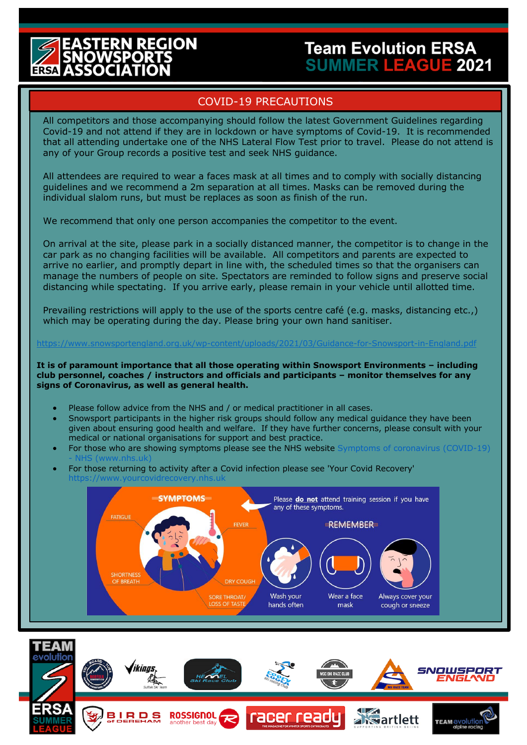# **REGION**

### **Team Evolution ERSA SUMMER LEAGUE 2021**

#### COVID-19 PRECAUTIONS

All competitors and those accompanying should follow the latest Government Guidelines regarding Covid-19 and not attend if they are in lockdown or have symptoms of Covid-19. It is recommended that all attending undertake one of the NHS Lateral Flow Test prior to travel. Please do not attend is any of your Group records a positive test and seek NHS guidance.

All attendees are required to wear a faces mask at all times and to comply with socially distancing guidelines and we recommend a 2m separation at all times. Masks can be removed during the individual slalom runs, but must be replaces as soon as finish of the run.

We recommend that only one person accompanies the competitor to the event.

On arrival at the site, please park in a socially distanced manner, the competitor is to change in the car park as no changing facilities will be available. All competitors and parents are expected to arrive no earlier, and promptly depart in line with, the scheduled times so that the organisers can manage the numbers of people on site. Spectators are reminded to follow signs and preserve social distancing while spectating. If you arrive early, please remain in your vehicle until allotted time.

Prevailing restrictions will apply to the use of the sports centre café (e.g. masks, distancing etc.,) which may be operating during the day. Please bring your own hand sanitiser.

//www.snowsportengland.org.uk/wp-content/uploads/2021/03/Guidance-for-Snowsport-in-England.pdf

**It is of paramount importance that all those operating within Snowsport Environments – including club personnel, coaches / instructors and officials and participants – monitor themselves for any signs of Coronavirus, as well as general health.** 

- Please follow advice from the NHS and / or medical practitioner in all cases.
- Snowsport participants in the higher risk groups should follow any medical guidance they have been given about ensuring good health and welfare. If they have further concerns, please consult with your medical or national organisations for support and best practice.
- For those who are showing symptoms please see the NHS website Symptoms of coronavirus (COVID-19) - NHS (www.nhs.uk)
- For those returning to activity after a Covid infection please see 'Your Covid Recovery' https://www.yourcovidrecovery.nhs.uk